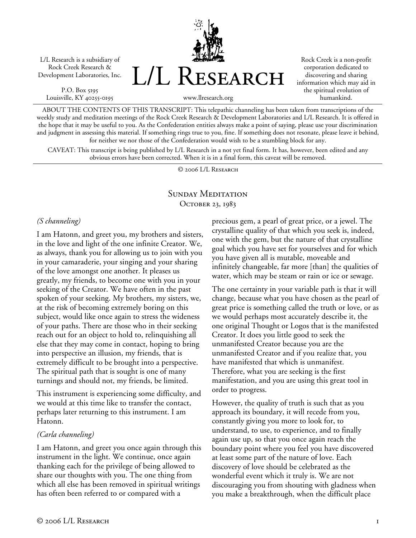L/L Research is a subsidiary of Rock Creek Research & Development Laboratories, Inc.

P.O. Box 5195 Louisville, KY 40255-0195 L/L Research

Rock Creek is a non-profit corporation dedicated to discovering and sharing information which may aid in the spiritual evolution of humankind.

www.llresearch.org

ABOUT THE CONTENTS OF THIS TRANSCRIPT: This telepathic channeling has been taken from transcriptions of the weekly study and meditation meetings of the Rock Creek Research & Development Laboratories and L/L Research. It is offered in the hope that it may be useful to you. As the Confederation entities always make a point of saying, please use your discrimination and judgment in assessing this material. If something rings true to you, fine. If something does not resonate, please leave it behind, for neither we nor those of the Confederation would wish to be a stumbling block for any.

CAVEAT: This transcript is being published by L/L Research in a not yet final form. It has, however, been edited and any obvious errors have been corrected. When it is in a final form, this caveat will be removed.

© 2006 L/L Research

## SUNDAY MEDITATION OCTOBER 23, 1983

#### *(S channeling)*

I am Hatonn, and greet you, my brothers and sisters, in the love and light of the one infinite Creator. We, as always, thank you for allowing us to join with you in your camaraderie, your singing and your sharing of the love amongst one another. It pleases us greatly, my friends, to become one with you in your seeking of the Creator. We have often in the past spoken of your seeking. My brothers, my sisters, we, at the risk of becoming extremely boring on this subject, would like once again to stress the wideness of your paths. There are those who in their seeking reach out for an object to hold to, relinquishing all else that they may come in contact, hoping to bring into perspective an illusion, my friends, that is extremely difficult to be brought into a perspective. The spiritual path that is sought is one of many turnings and should not, my friends, be limited.

This instrument is experiencing some difficulty, and we would at this time like to transfer the contact, perhaps later returning to this instrument. I am Hatonn.

## *(Carla channeling)*

I am Hatonn, and greet you once again through this instrument in the light. We continue, once again thanking each for the privilege of being allowed to share our thoughts with you. The one thing from which all else has been removed in spiritual writings has often been referred to or compared with a

precious gem, a pearl of great price, or a jewel. The crystalline quality of that which you seek is, indeed, one with the gem, but the nature of that crystalline goal which you have set for yourselves and for which you have given all is mutable, moveable and infinitely changeable, far more [than] the qualities of water, which may be steam or rain or ice or sewage.

The one certainty in your variable path is that it will change, because what you have chosen as the pearl of great price is something called the truth or love, or as we would perhaps most accurately describe it, the one original Thought or Logos that is the manifested Creator. It does you little good to seek the unmanifested Creator because you are the unmanifested Creator and if you realize that, you have manifested that which is unmanifest. Therefore, what you are seeking is the first manifestation, and you are using this great tool in order to progress.

However, the quality of truth is such that as you approach its boundary, it will recede from you, constantly giving you more to look for, to understand, to use, to experience, and to finally again use up, so that you once again reach the boundary point where you feel you have discovered at least some part of the nature of love. Each discovery of love should be celebrated as the wonderful event which it truly is. We are not discouraging you from shouting with gladness when you make a breakthrough, when the difficult place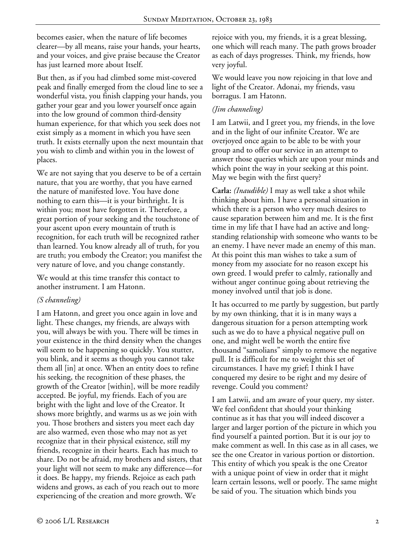becomes easier, when the nature of life becomes clearer—by all means, raise your hands, your hearts, and your voices, and give praise because the Creator has just learned more about Itself.

But then, as if you had climbed some mist-covered peak and finally emerged from the cloud line to see a wonderful vista, you finish clapping your hands, you gather your gear and you lower yourself once again into the low ground of common third-density human experience, for that which you seek does not exist simply as a moment in which you have seen truth. It exists eternally upon the next mountain that you wish to climb and within you in the lowest of places.

We are not saying that you deserve to be of a certain nature, that you are worthy, that you have earned the nature of manifested love. You have done nothing to earn this—it is your birthright. It is within you; most have forgotten it. Therefore, a great portion of your seeking and the touchstone of your ascent upon every mountain of truth is recognition, for each truth will be recognized rather than learned. You know already all of truth, for you are truth; you embody the Creator; you manifest the very nature of love, and you change constantly.

We would at this time transfer this contact to another instrument. I am Hatonn.

## *(S channeling)*

I am Hatonn, and greet you once again in love and light. These changes, my friends, are always with you, will always be with you. There will be times in your existence in the third density when the changes will seem to be happening so quickly. You stutter, you blink, and it seems as though you cannot take them all [in] at once. When an entity does to refine his seeking, the recognition of these phases, the growth of the Creator [within], will be more readily accepted. Be joyful, my friends. Each of you are bright with the light and love of the Creator. It shows more brightly, and warms us as we join with you. Those brothers and sisters you meet each day are also warmed, even those who may not as yet recognize that in their physical existence, still my friends, recognize in their hearts. Each has much to share. Do not be afraid, my brothers and sisters, that your light will not seem to make any difference—for it does. Be happy, my friends. Rejoice as each path widens and grows, as each of you reach out to more experiencing of the creation and more growth. We

We would leave you now rejoicing in that love and light of the Creator. Adonai, my friends, vasu borragus. I am Hatonn.

#### *(Jim channeling)*

I am Latwii, and I greet you, my friends, in the love and in the light of our infinite Creator. We are overjoyed once again to be able to be with your group and to offer our service in an attempt to answer those queries which are upon your minds and which point the way in your seeking at this point. May we begin with the first query?

**Carla:** *(Inaudible)* I may as well take a shot while thinking about him. I have a personal situation in which there is a person who very much desires to cause separation between him and me. It is the first time in my life that I have had an active and longstanding relationship with someone who wants to be an enemy. I have never made an enemy of this man. At this point this man wishes to take a sum of money from my associate for no reason except his own greed. I would prefer to calmly, rationally and without anger continue going about retrieving the money involved until that job is done.

It has occurred to me partly by suggestion, but partly by my own thinking, that it is in many ways a dangerous situation for a person attempting work such as we do to have a physical negative pull on one, and might well be worth the entire five thousand "samolians" simply to remove the negative pull. It is difficult for me to weight this set of circumstances. I have my grief; I think I have conquered my desire to be right and my desire of revenge. Could you comment?

I am Latwii, and am aware of your query, my sister. We feel confident that should your thinking continue as it has that you will indeed discover a larger and larger portion of the picture in which you find yourself a painted portion. But it is our joy to make comment as well. In this case as in all cases, we see the one Creator in various portion or distortion. This entity of which you speak is the one Creator with a unique point of view in order that it might learn certain lessons, well or poorly. The same might be said of you. The situation which binds you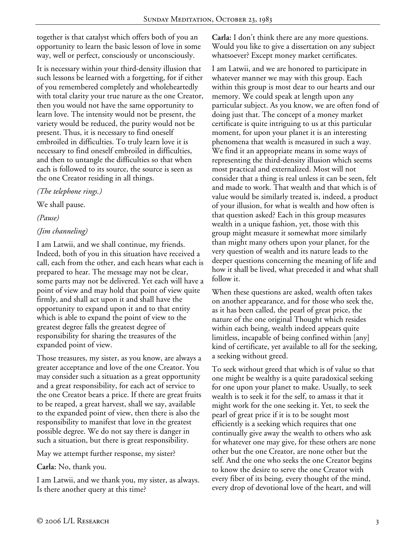together is that catalyst which offers both of you an opportunity to learn the basic lesson of love in some way, well or perfect, consciously or unconsciously.

It is necessary within your third-density illusion that such lessons be learned with a forgetting, for if either of you remembered completely and wholeheartedly with total clarity your true nature as the one Creator, then you would not have the same opportunity to learn love. The intensity would not be present, the variety would be reduced, the purity would not be present. Thus, it is necessary to find oneself embroiled in difficulties. To truly learn love it is necessary to find oneself embroiled in difficulties, and then to untangle the difficulties so that when each is followed to its source, the source is seen as the one Creator residing in all things.

## *(The telephone rings.)*

We shall pause.

*(Pause)* 

# *(Jim channeling)*

I am Latwii, and we shall continue, my friends. Indeed, both of you in this situation have received a call, each from the other, and each hears what each is prepared to hear. The message may not be clear, some parts may not be delivered. Yet each will have a point of view and may hold that point of view quite firmly, and shall act upon it and shall have the opportunity to expand upon it and to that entity which is able to expand the point of view to the greatest degree falls the greatest degree of responsibility for sharing the treasures of the expanded point of view.

Those treasures, my sister, as you know, are always a greater acceptance and love of the one Creator. You may consider such a situation as a great opportunity and a great responsibility, for each act of service to the one Creator bears a price. If there are great fruits to be reaped, a great harvest, shall we say, available to the expanded point of view, then there is also the responsibility to manifest that love in the greatest possible degree. We do not say there is danger in such a situation, but there is great responsibility.

May we attempt further response, my sister?

**Carla:** No, thank you.

I am Latwii, and we thank you, my sister, as always. Is there another query at this time?

**Carla:** I don't think there are any more questions. Would you like to give a dissertation on any subject whatsoever? Except money market certificates.

I am Latwii, and we are honored to participate in whatever manner we may with this group. Each within this group is most dear to our hearts and our memory. We could speak at length upon any particular subject. As you know, we are often fond of doing just that. The concept of a money market certificate is quite intriguing to us at this particular moment, for upon your planet it is an interesting phenomena that wealth is measured in such a way. We find it an appropriate means in some ways of representing the third-density illusion which seems most practical and externalized. Most will not consider that a thing is real unless it can be seen, felt and made to work. That wealth and that which is of value would be similarly treated is, indeed, a product of your illusion, for what is wealth and how often is that question asked? Each in this group measures wealth in a unique fashion, yet, those with this group might measure it somewhat more similarly than might many others upon your planet, for the very question of wealth and its nature leads to the deeper questions concerning the meaning of life and how it shall be lived, what preceded it and what shall follow it.

When these questions are asked, wealth often takes on another appearance, and for those who seek the, as it has been called, the pearl of great price, the nature of the one original Thought which resides within each being, wealth indeed appears quite limitless, incapable of being confined within [any] kind of certificate, yet available to all for the seeking, a seeking without greed.

To seek without greed that which is of value so that one might be wealthy is a quite paradoxical seeking for one upon your planet to make. Usually, to seek wealth is to seek it for the self, to amass it that it might work for the one seeking it. Yet, to seek the pearl of great price if it is to be sought most efficiently is a seeking which requires that one continually give away the wealth to others who ask for whatever one may give, for these others are none other but the one Creator, are none other but the self. And the one who seeks the one Creator begins to know the desire to serve the one Creator with every fiber of its being, every thought of the mind, every drop of devotional love of the heart, and will